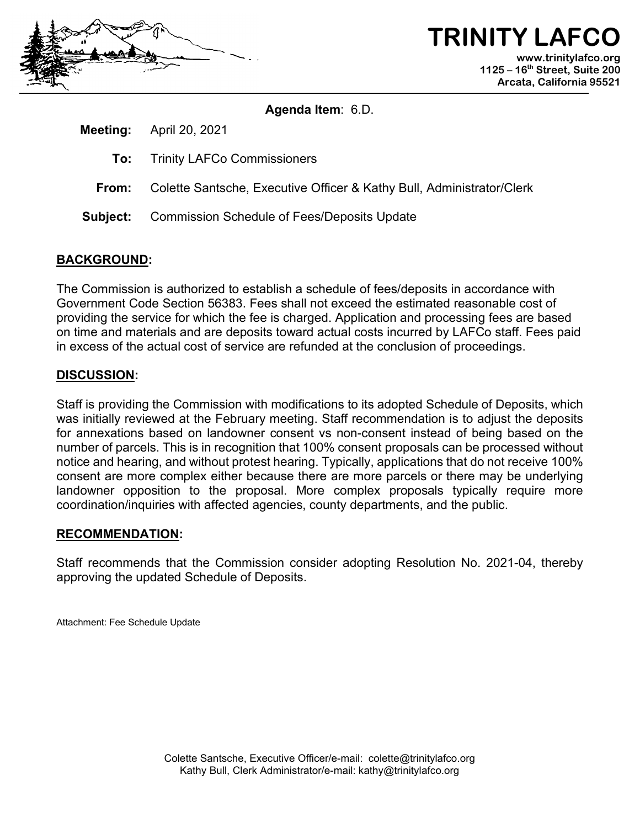

**TRINITY LAFC www.trinitylafco.org 1125 – 16th Street, Suite 200 Arcata, California 95521**

#### **Agenda Item**: 6.D.

**Meeting:** April 20, 2021

- **To:** Trinity LAFCo Commissioners
- **From:** Colette Santsche, Executive Officer & Kathy Bull, Administrator/Clerk
- **Subject:** Commission Schedule of Fees/Deposits Update

#### **BACKGROUND:**

The Commission is authorized to establish a schedule of fees/deposits in accordance with Government Code Section 56383. Fees shall not exceed the estimated reasonable cost of providing the service for which the fee is charged. Application and processing fees are based on time and materials and are deposits toward actual costs incurred by LAFCo staff. Fees paid in excess of the actual cost of service are refunded at the conclusion of proceedings.

#### **DISCUSSION:**

Staff is providing the Commission with modifications to its adopted Schedule of Deposits, which was initially reviewed at the February meeting. Staff recommendation is to adjust the deposits for annexations based on landowner consent vs non-consent instead of being based on the number of parcels. This is in recognition that 100% consent proposals can be processed without notice and hearing, and without protest hearing. Typically, applications that do not receive 100% consent are more complex either because there are more parcels or there may be underlying landowner opposition to the proposal. More complex proposals typically require more coordination/inquiries with affected agencies, county departments, and the public.

#### **RECOMMENDATION:**

Staff recommends that the Commission consider adopting Resolution No. 2021-04, thereby approving the updated Schedule of Deposits.

Attachment: Fee Schedule Update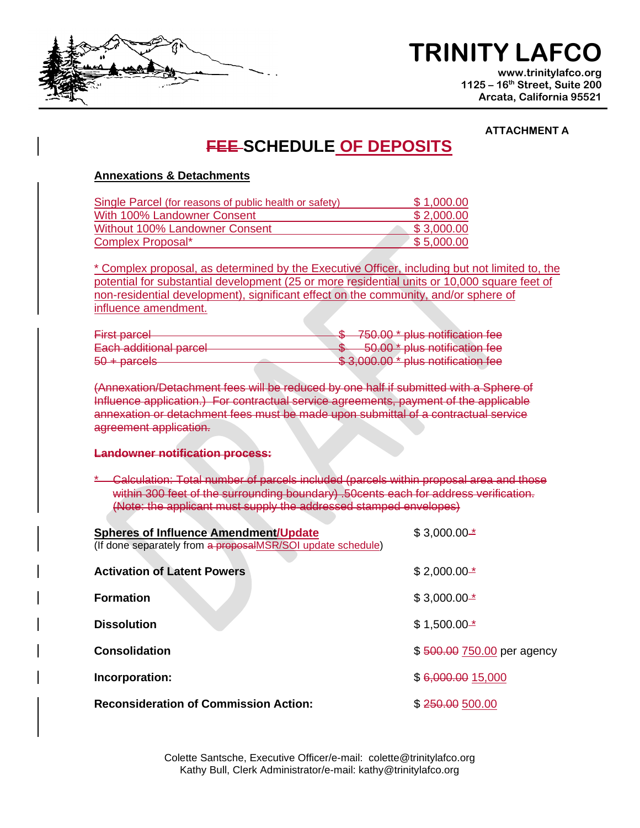

# **TRINITY LAFCO**

**www.trinitylafco.org 1125 – 16th Street, Suite 200 Arcata, California 95521**

#### **ATTACHMENT A**

### **FEE SCHEDULE OF DEPOSITS**

#### **Annexations & Detachments**

| Single Parcel (for reasons of public health or safety) | \$1,000.00 |
|--------------------------------------------------------|------------|
| With 100% Landowner Consent                            | \$2,000.00 |
| Without 100% Landowner Consent                         | \$3,000.00 |
| Complex Proposal*                                      | \$5.000.00 |

\* Complex proposal, as determined by the Executive Officer, including but not limited to, the potential for substantial development (25 or more residential units or 10,000 square feet of non-residential development), significant effect on the community, and/or sphere of influence amendment.

| Firet nareal                                                |  |  | \$750.00 * plus notification fee              |
|-------------------------------------------------------------|--|--|-----------------------------------------------|
| <del>r nət parucı</del>                                     |  |  |                                               |
| Each additional nareal<br><del>Latif auuniohar partoi</del> |  |  | 50.00 <sup>*</sup> plus notification fee      |
| $50 + n$                                                    |  |  | $\&$ 3,000,00 $*$ plue potification fee       |
| $\sigma$ $\sigma$ $\tau$ $\sigma$ $\sigma$ $\sigma$         |  |  | <del>o J.UUU.UU – pius Hullilualiui Tee</del> |

(Annexation/Detachment fees will be reduced by one half if submitted with a Sphere of Influence application.) For contractual service agreements, payment of the applicable annexation or detachment fees must be made upon submittal of a contractual service agreement application.

#### **Landowner notification process:**

\* Calculation: Total number of parcels included (parcels within proposal area and those within 300 feet of the surrounding boundary) .50cents each for address verification. (Note: the applicant must supply the addressed stamped envelopes)

| <b>Spheres of Influence Amendment/Update</b>                | $$3,000.00*$               |
|-------------------------------------------------------------|----------------------------|
| (If done separately from a proposalMSR/SOI update schedule) |                            |
| <b>Activation of Latent Powers</b>                          | $$2,000.00*$               |
| <b>Formation</b>                                            | $$3,000.00*$               |
| <b>Dissolution</b>                                          | $$1,500.00*$               |
| Consolidation                                               | \$500.00 750.00 per agency |
| Incorporation:                                              | \$6,000.0015,000           |
| <b>Reconsideration of Commission Action:</b>                | \$250.00 500.00            |

Colette Santsche, Executive Officer/e-mail: colette@trinitylafco.org Kathy Bull, Clerk Administrator/e-mail: kathy@trinitylafco.org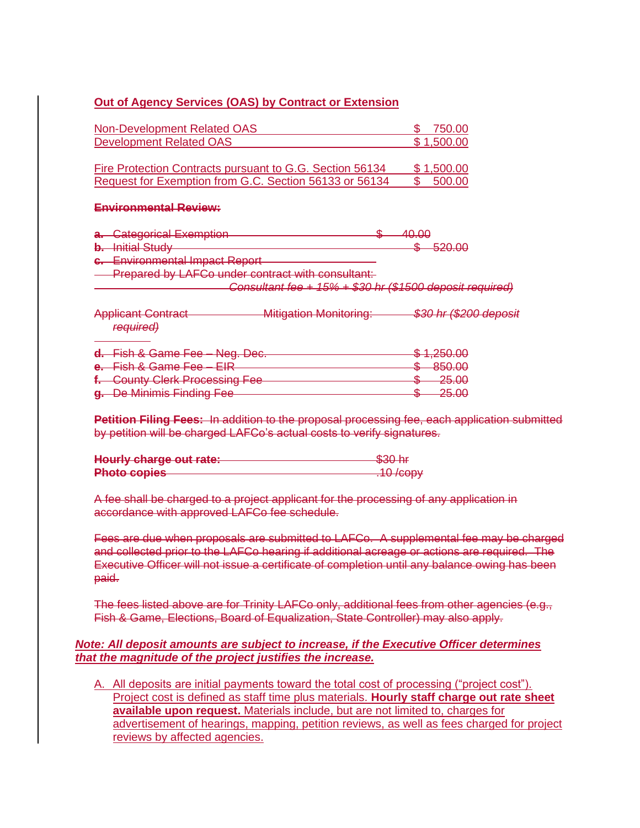#### **Out of Agency Services (OAS) by Contract or Extension**

| Non-Development Related OAS                              | 750.00     |
|----------------------------------------------------------|------------|
| Development Related OAS                                  | \$1,500.00 |
|                                                          |            |
| Fire Protection Contracts pursuant to G.G. Section 56134 | \$1,500.00 |
| Request for Exemption from G.C. Section 56133 or 56134   | 500.00     |
|                                                          |            |

#### **Environmental Review:**

| a. Categorical Exemption       | <del>40.00</del> |                             |
|--------------------------------|------------------|-----------------------------|
| <b>b.</b> Initial Study        |                  | LOU UU<br><del>סבט.טש</del> |
| c. Environmental Impact Report |                  |                             |

**Prepared by LAFCo under contract with consultant:** 

*Consultant fee + 15% + \$30 hr (\$1500 deposit required)*

Applicant Contract Mitigation Monitoring: *\$30 hr (\$200 deposit required)*

| d. Fish & Game Fee - Neg. Dec. | $C$ 1.250.00<br><del>ง ⊹.∠טט.טט</del> |
|--------------------------------|---------------------------------------|
|                                | REN UU                                |
| e. Fish & Game Fee - EIR       | <del>ooo.oo</del>                     |
| f. County Clerk Processing Fee | 25.00<br><del>20.00</del>             |
| g. De Minimis Finding Fee-     | <b>OR OO</b><br><del>20.00</del>      |

**Petition Filing Fees:** In addition to the proposal processing fee, each application submitted by petition will be charged LAFCo's actual costs to verify signatures.

| Hourly charge out rate:       | $Q20$ hr                                       |
|-------------------------------|------------------------------------------------|
| <b>HOWLIG OTHER ONE TOROT</b> | $\overline{\mathtt{w}\mathtt{w}\mathtt{w}}$ in |
| <b>Dhoto</b> conice           | $10$ $\mu$                                     |
| <b>THULU UUPIGO</b>           | $\overline{\mathbf{r}}$                        |

A fee shall be charged to a project applicant for the processing of any application in accordance with approved LAFCo fee schedule.

Fees are due when proposals are submitted to LAFCo. A supplemental fee may be charged and collected prior to the LAFCo hearing if additional acreage or actions are required. The Executive Officer will not issue a certificate of completion until any balance owing has been paid.

The fees listed above are for Trinity LAFCo only, additional fees from other agencies (e.g., Fish & Game, Elections, Board of Equalization, State Controller) may also apply.

#### *Note: All deposit amounts are subject to increase, if the Executive Officer determines that the magnitude of the project justifies the increase.*

A. All deposits are initial payments toward the total cost of processing ("project cost"). Project cost is defined as staff time plus materials. **Hourly staff charge out rate sheet available upon request.** Materials include, but are not limited to, charges for advertisement of hearings, mapping, petition reviews, as well as fees charged for project reviews by affected agencies.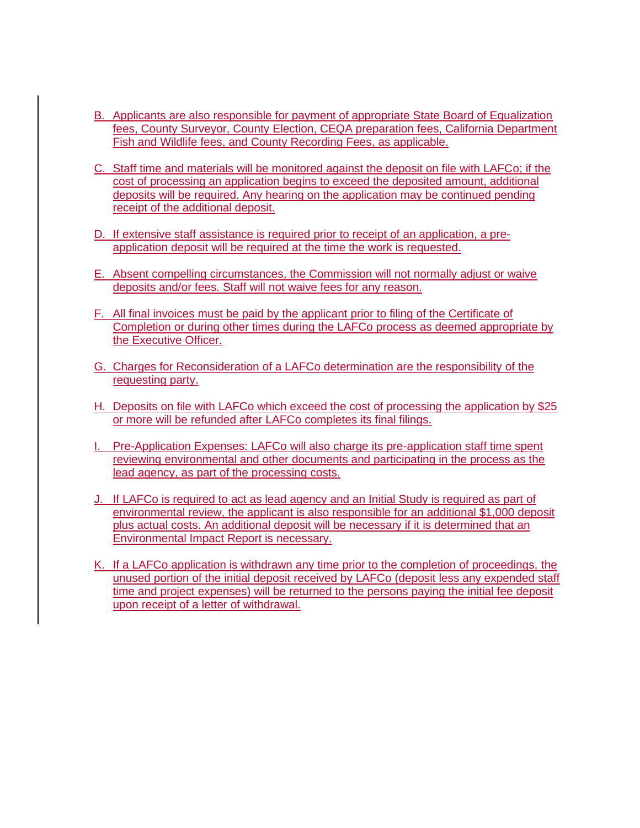- B. Applicants are also responsible for payment of appropriate State Board of Equalization fees, County Surveyor, County Election, CEQA preparation fees, California Department Fish and Wildlife fees, and County Recording Fees, as applicable.
- C. Staff time and materials will be monitored against the deposit on file with LAFCo; if the cost of processing an application begins to exceed the deposited amount, additional deposits will be required. Any hearing on the application may be continued pending receipt of the additional deposit.
- D. If extensive staff assistance is required prior to receipt of an application, a preapplication deposit will be required at the time the work is requested.
- E. Absent compelling circumstances, the Commission will not normally adjust or waive deposits and/or fees. Staff will not waive fees for any reason.
- F. All final invoices must be paid by the applicant prior to filing of the Certificate of Completion or during other times during the LAFCo process as deemed appropriate by the Executive Officer.
- G. Charges for Reconsideration of a LAFCo determination are the responsibility of the requesting party.
- H. Deposits on file with LAFCo which exceed the cost of processing the application by \$25 or more will be refunded after LAFCo completes its final filings.
- I. Pre-Application Expenses: LAFCo will also charge its pre-application staff time spent reviewing environmental and other documents and participating in the process as the lead agency, as part of the processing costs.
- J. If LAFCo is required to act as lead agency and an Initial Study is required as part of environmental review, the applicant is also responsible for an additional \$1,000 deposit plus actual costs. An additional deposit will be necessary if it is determined that an Environmental Impact Report is necessary.
- K. If a LAFCo application is withdrawn any time prior to the completion of proceedings, the unused portion of the initial deposit received by LAFCo (deposit less any expended staff time and project expenses) will be returned to the persons paying the initial fee deposit upon receipt of a letter of withdrawal.